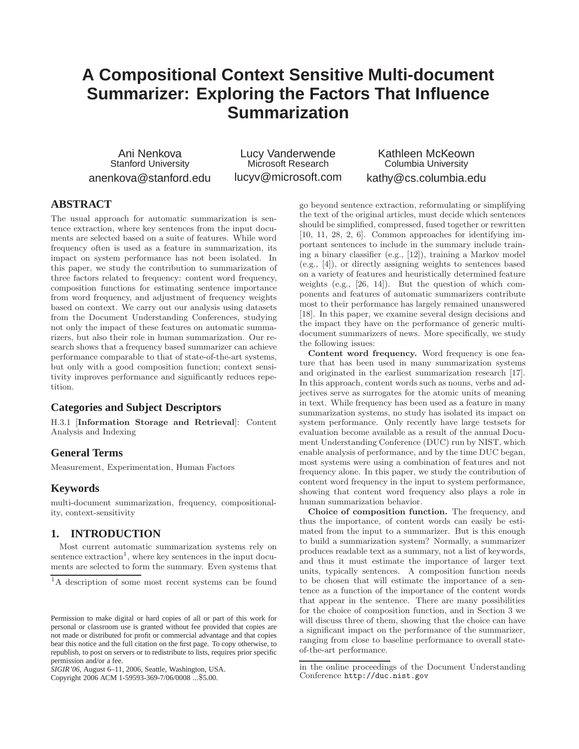# **A Compositional Context Sensitive Multi-document Summarizer: Exploring the Factors That Influence Summarization**

Ani Nenkova Stanford University anenkova@stanford.edu

Lucy Vanderwende Microsoft Research lucyv@microsoft.com

Kathleen McKeown Columbia University kathy@cs.columbia.edu

# **ABSTRACT**

The usual approach for automatic summarization is sentence extraction, where key sentences from the input documents are selected based on a suite of features. While word frequency often is used as a feature in summarization, its impact on system performance has not been isolated. In this paper, we study the contribution to summarization of three factors related to frequency: content word frequency, composition functions for estimating sentence importance from word frequency, and adjustment of frequency weights based on context. We carry out our analysis using datasets from the Document Understanding Conferences, studying not only the impact of these features on automatic summarizers, but also their role in human summarization. Our research shows that a frequency based summarizer can achieve performance comparable to that of state-of-the-art systems, but only with a good composition function; context sensitivity improves performance and significantly reduces repetition.

# **Categories and Subject Descriptors**

H.3.1 [Information Storage and Retrieval]: Content Analysis and Indexing

# **General Terms**

Measurement, Experimentation, Human Factors

# **Keywords**

multi-document summarization, frequency, compositionality, context-sensitivity

# **1. INTRODUCTION**

Most current automatic summarization systems rely on sentence  $\text{extraction}^1$ , where key sentences in the input documents are selected to form the summary. Even systems that

Copyright 2006 ACM 1-59593-369-7/06/0008 ...\$5.00.

go beyond sentence extraction, reformulating or simplifying the text of the original articles, must decide which sentences should be simplified, compressed, fused together or rewritten [10, 11, 28, 2, 6]. Common approaches for identifying important sentences to include in the summary include training a binary classifier (e.g., [12]), training a Markov model (e.g., [4]), or directly assigning weights to sentences based on a variety of features and heuristically determined feature weights (e.g., [26, 14]). But the question of which components and features of automatic summarizers contribute most to their performance has largely remained unanswered [18]. In this paper, we examine several design decisions and the impact they have on the performance of generic multidocument summarizers of news. More specifically, we study the following issues:

Content word frequency. Word frequency is one feature that has been used in many summarization systems and originated in the earliest summarization research [17]. In this approach, content words such as nouns, verbs and adjectives serve as surrogates for the atomic units of meaning in text. While frequency has been used as a feature in many summarization systems, no study has isolated its impact on system performance. Only recently have large testsets for evaluation become available as a result of the annual Document Understanding Conference (DUC) run by NIST, which enable analysis of performance, and by the time DUC began, most systems were using a combination of features and not frequency alone. In this paper, we study the contribution of content word frequency in the input to system performance, showing that content word frequency also plays a role in human summarization behavior.

Choice of composition function. The frequency, and thus the importance, of content words can easily be estimated from the input to a summarizer. But is this enough to build a summarization system? Normally, a summarizer produces readable text as a summary, not a list of keywords, and thus it must estimate the importance of larger text units, typically sentences. A composition function needs to be chosen that will estimate the importance of a sentence as a function of the importance of the content words that appear in the sentence. There are many possibilities for the choice of composition function, and in Section 3 we will discuss three of them, showing that the choice can have a significant impact on the performance of the summarizer, ranging from close to baseline performance to overall stateof-the-art performance.

<sup>&</sup>lt;sup>1</sup>A description of some most recent systems can be found

Permission to make digital or hard copies of all or part of this work for personal or classroom use is granted without fee provided that copies are not made or distributed for profit or commercial advantage and that copies bear this notice and the full citation on the first page. To copy otherwise, to republish, to post on servers or to redistribute to lists, requires prior specific permission and/or a fee.

*SIGIR'06,* August 6–11, 2006, Seattle, Washington, USA.

in the online proceedings of the Document Understanding Conference http://duc.nist.gov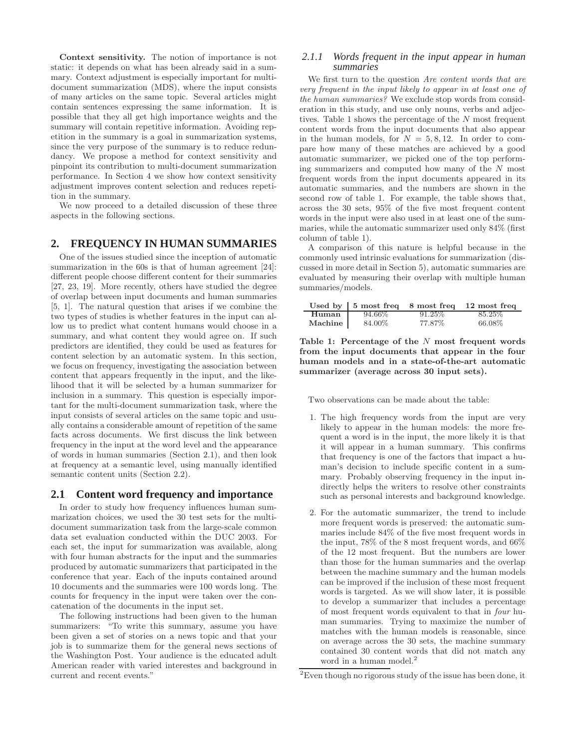Context sensitivity. The notion of importance is not static: it depends on what has been already said in a summary. Context adjustment is especially important for multidocument summarization (MDS), where the input consists of many articles on the same topic. Several articles might contain sentences expressing the same information. It is possible that they all get high importance weights and the summary will contain repetitive information. Avoiding repetition in the summary is a goal in summarization systems, since the very purpose of the summary is to reduce redundancy. We propose a method for context sensitivity and pinpoint its contribution to multi-document summarization performance. In Section 4 we show how context sensitivity adjustment improves content selection and reduces repetition in the summary.

We now proceed to a detailed discussion of these three aspects in the following sections.

# **2. FREQUENCY IN HUMAN SUMMARIES**

One of the issues studied since the inception of automatic summarization in the 60s is that of human agreement [24]: different people choose different content for their summaries [27, 23, 19]. More recently, others have studied the degree of overlap between input documents and human summaries [5, 1]. The natural question that arises if we combine the two types of studies is whether features in the input can allow us to predict what content humans would choose in a summary, and what content they would agree on. If such predictors are identified, they could be used as features for content selection by an automatic system. In this section, we focus on frequency, investigating the association between content that appears frequently in the input, and the likelihood that it will be selected by a human summarizer for inclusion in a summary. This question is especially important for the multi-document summarization task, where the input consists of several articles on the same topic and usually contains a considerable amount of repetition of the same facts across documents. We first discuss the link between frequency in the input at the word level and the appearance of words in human summaries (Section 2.1), and then look at frequency at a semantic level, using manually identified semantic content units (Section 2.2).

## **2.1 Content word frequency and importance**

In order to study how frequency influences human summarization choices, we used the 30 test sets for the multidocument summarization task from the large-scale common data set evaluation conducted within the DUC 2003. For each set, the input for summarization was available, along with four human abstracts for the input and the summaries produced by automatic summarizers that participated in the conference that year. Each of the inputs contained around 10 documents and the summaries were 100 words long. The counts for frequency in the input were taken over the concatenation of the documents in the input set.

The following instructions had been given to the human summarizers: "To write this summary, assume you have been given a set of stories on a news topic and that your job is to summarize them for the general news sections of the Washington Post. Your audience is the educated adult American reader with varied interestes and background in current and recent events."

## *2.1.1 Words frequent in the input appear in human summaries*

We first turn to the question Are content words that are very frequent in the input likely to appear in at least one of the human summaries? We exclude stop words from consideration in this study, and use only nouns, verbs and adjectives. Table 1 shows the percentage of the N most frequent content words from the input documents that also appear in the human models, for  $N = 5, 8, 12$ . In order to compare how many of these matches are achieved by a good automatic summarizer, we picked one of the top performing summarizers and computed how many of the N most frequent words from the input documents appeared in its automatic summaries, and the numbers are shown in the second row of table 1. For example, the table shows that, across the 30 sets, 95% of the five most frequent content words in the input were also used in at least one of the summaries, while the automatic summarizer used only 84% (first column of table 1).

A comparison of this nature is helpful because in the commonly used intrinsic evaluations for summarization (discussed in more detail in Section 5), automatic summaries are evaluated by measuring their overlap with multiple human summaries/models.

|         |        |           | Used by $\vert$ 5 most freq 8 most freq 12 most freq |
|---------|--------|-----------|------------------------------------------------------|
| Human   | 94.66% | $91.25\%$ | 85.25%                                               |
| Machine | 84.00% | 77.87%    | 66.08%                                               |

Table 1: Percentage of the N most frequent words from the input documents that appear in the four human models and in a state-of-the-art automatic summarizer (average across 30 input sets).

Two observations can be made about the table:

- 1. The high frequency words from the input are very likely to appear in the human models: the more frequent a word is in the input, the more likely it is that it will appear in a human summary. This confirms that frequency is one of the factors that impact a human's decision to include specific content in a summary. Probably observing frequency in the input indirectly helps the writers to resolve other constraints such as personal interests and background knowledge.
- 2. For the automatic summarizer, the trend to include more frequent words is preserved: the automatic summaries include 84% of the five most frequent words in the input, 78% of the 8 most frequent words, and 66% of the 12 most frequent. But the numbers are lower than those for the human summaries and the overlap between the machine summary and the human models can be improved if the inclusion of these most frequent words is targeted. As we will show later, it is possible to develop a summarizer that includes a percentage of most frequent words equivalent to that in four human summaries. Trying to maximize the number of matches with the human models is reasonable, since on average across the 30 sets, the machine summary contained 30 content words that did not match any word in a human model.<sup>2</sup>

 $2E$ ven though no rigorous study of the issue has been done, it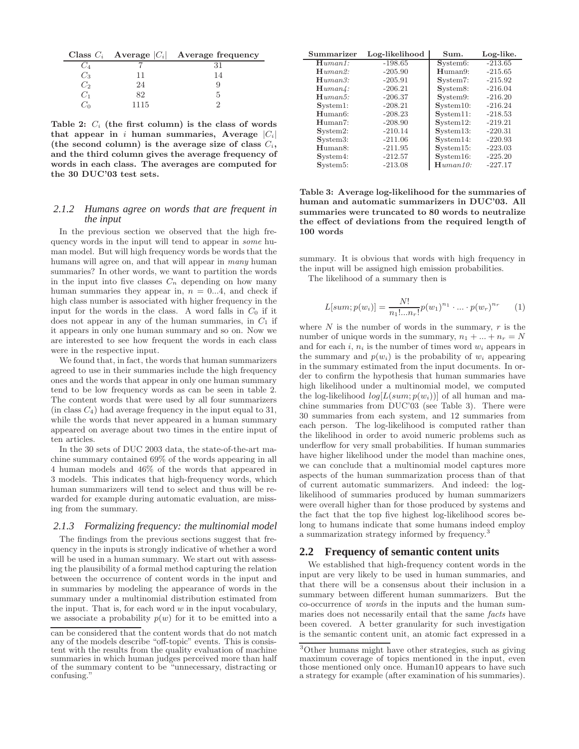|       |      | Class $C_i$ Average $ C_i $ Average frequency |
|-------|------|-----------------------------------------------|
|       |      |                                               |
| $C_3$ |      | 14                                            |
| $C_2$ | 24   |                                               |
| 65    | 82   |                                               |
|       | 1115 |                                               |

Table 2:  $C_i$  (the first column) is the class of words that appear in i human summaries, Average  $|C_i|$ (the second column) is the average size of class  $C_i$ , and the third column gives the average frequency of words in each class. The averages are computed for the 30 DUC'03 test sets.

## *2.1.2 Humans agree on words that are frequent in the input*

In the previous section we observed that the high frequency words in the input will tend to appear in some human model. But will high frequency words be words that the humans will agree on, and that will appear in many human summaries? In other words, we want to partition the words in the input into five classes  $C_n$  depending on how many human summaries they appear in,  $n = 0...4$ , and check if high class number is associated with higher frequency in the input for the words in the class. A word falls in  $C_0$  if it does not appear in any of the human summaries, in  $C_1$  if it appears in only one human summary and so on. Now we are interested to see how frequent the words in each class were in the respective input.

We found that, in fact, the words that human summarizers agreed to use in their summaries include the high frequency ones and the words that appear in only one human summary tend to be low frequency words as can be seen in table 2. The content words that were used by all four summarizers (in class  $C_4$ ) had average frequency in the input equal to 31, while the words that never appeared in a human summary appeared on average about two times in the entire input of ten articles.

In the 30 sets of DUC 2003 data, the state-of-the-art machine summary contained 69% of the words appearing in all 4 human models and 46% of the words that appeared in 3 models. This indicates that high-frequency words, which human summarizers will tend to select and thus will be rewarded for example during automatic evaluation, are missing from the summary.

#### *2.1.3 Formalizing frequency: the multinomial model*

The findings from the previous sections suggest that frequency in the inputs is strongly indicative of whether a word will be used in a human summary. We start out with assessing the plausibility of a formal method capturing the relation between the occurrence of content words in the input and in summaries by modeling the appearance of words in the summary under a multinomial distribution estimated from the input. That is, for each word  $w$  in the input vocabulary, we associate a probability  $p(w)$  for it to be emitted into a

| Summarizer              | Log-likelihood | Sum.                  | Log-like. |
|-------------------------|----------------|-----------------------|-----------|
| $H$ uman!:              | $-198.65$      | System <sub>6</sub> : | $-213.65$ |
| $H$ uman $2$ :          | $-205.90$      | $H$ uman $9:$         | $-215.65$ |
| $\mathbf{H}$ uman $3$ : | $-205.91$      | System7:              | $-215.92$ |
| $Human\$                | $-206.21$      | System <sub>8</sub> : | $-216.04$ |
| $\mathbf{H}$ uman $5$ : | $-206.37$      | System9:              | $-216.20$ |
| System1:                | $-208.21$      | System10:             | $-216.24$ |
| $H$ uman $6$ :          | $-208.23$      | System11:             | $-218.53$ |
| $H$ uman $7:$           | $-208.90$      | System12:             | $-219.21$ |
| System2:                | $-210.14$      | System13:             | $-220.31$ |
| System3:                | $-211.06$      | $S$ ystem $14$ :      | $-220.93$ |
| $H$ uman $8$ :          | $-211.95$      | System15:             | $-223.03$ |
| System4:                | $-212.57$      | System16:             | $-225.20$ |
| System <sub>5</sub> :   | $-213.08$      | $\mathbf{H}$ uman10:  | $-227.17$ |

Table 3: Average log-likelihood for the summaries of human and automatic summarizers in DUC'03. All summaries were truncated to 80 words to neutralize the effect of deviations from the required length of 100 words

summary. It is obvious that words with high frequency in the input will be assigned high emission probabilities.

The likelihood of a summary then is

$$
L[sum; p(w_i)] = \frac{N!}{n_1! \dots n_r!} p(w_1)^{n_1} \cdot \dots \cdot p(w_r)^{n_r} \qquad (1)
$$

where  $N$  is the number of words in the summary,  $r$  is the number of unique words in the summary,  $n_1 + ... + n_r = N$ and for each i,  $n_i$  is the number of times word  $w_i$  appears in the summary and  $p(w_i)$  is the probability of  $w_i$  appearing in the summary estimated from the input documents. In order to confirm the hypothesis that human summaries have high likelihood under a multinomial model, we computed the log-likelihood  $log[L(sum; p(w_i))]$  of all human and machine summaries from DUC'03 (see Table 3). There were 30 summaries from each system, and 12 summaries from each person. The log-likelihood is computed rather than the likelihood in order to avoid numeric problems such as underflow for very small probabilities. If human summaries have higher likelihood under the model than machine ones, we can conclude that a multinomial model captures more aspects of the human summarization process than of that of current automatic summarizers. And indeed: the loglikelihood of summaries produced by human summarizers were overall higher than for those produced by systems and the fact that the top five highest log-likelihood scores belong to humans indicate that some humans indeed employ a summarization strategy informed by frequency.<sup>3</sup>

#### **2.2 Frequency of semantic content units**

We established that high-frequency content words in the input are very likely to be used in human summaries, and that there will be a consensus about their inclusion in a summary between different human summarizers. But the co-occurrence of words in the inputs and the human summaries does not necessarily entail that the same facts have been covered. A better granularity for such investigation is the semantic content unit, an atomic fact expressed in a

can be considered that the content words that do not match any of the models describe "off-topic" events. This is consistent with the results from the quality evaluation of machine summaries in which human judges perceived more than half of the summary content to be "unnecessary, distracting or confusing."

<sup>3</sup>Other humans might have other strategies, such as giving maximum coverage of topics mentioned in the input, even those mentioned only once. Human10 appears to have such a strategy for example (after examination of his summaries).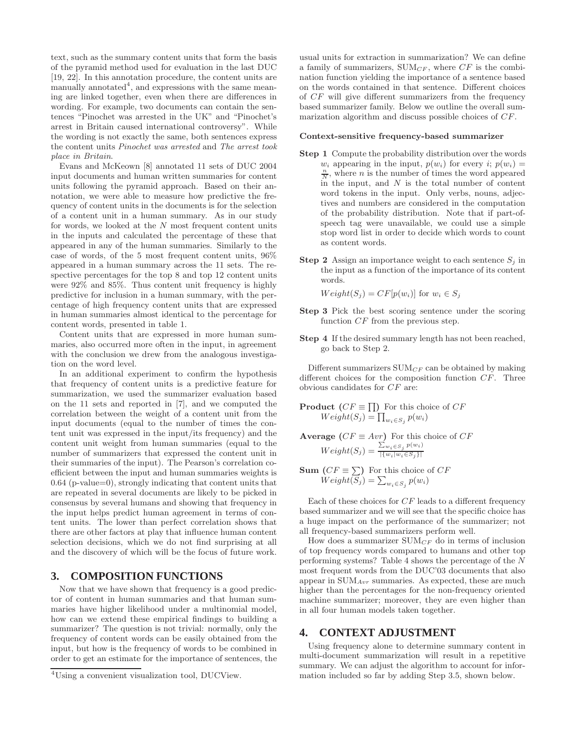text, such as the summary content units that form the basis of the pyramid method used for evaluation in the last DUC [19, 22]. In this annotation procedure, the content units are manually annotated<sup>4</sup>, and expressions with the same meaning are linked together, even when there are differences in wording. For example, two documents can contain the sentences "Pinochet was arrested in the UK" and "Pinochet's arrest in Britain caused international controversy". While the wording is not exactly the same, both sentences express the content units Pinochet was arrested and The arrest took place in Britain.

Evans and McKeown [8] annotated 11 sets of DUC 2004 input documents and human written summaries for content units following the pyramid approach. Based on their annotation, we were able to measure how predictive the frequency of content units in the documents is for the selection of a content unit in a human summary. As in our study for words, we looked at the  $N$  most frequent content units in the inputs and calculated the percentage of these that appeared in any of the human summaries. Similarly to the case of words, of the 5 most frequent content units, 96% appeared in a human summary across the 11 sets. The respective percentages for the top 8 and top 12 content units were 92% and 85%. Thus content unit frequency is highly predictive for inclusion in a human summary, with the percentage of high frequency content units that are expressed in human summaries almost identical to the percentage for content words, presented in table 1.

Content units that are expressed in more human summaries, also occurred more often in the input, in agreement with the conclusion we drew from the analogous investigation on the word level.

In an additional experiment to confirm the hypothesis that frequency of content units is a predictive feature for summarization, we used the summarizer evaluation based on the 11 sets and reported in [7], and we computed the correlation between the weight of a content unit from the input documents (equal to the number of times the content unit was expressed in the input/its frequency) and the content unit weight from human summaries (equal to the number of summarizers that expressed the content unit in their summaries of the input). The Pearson's correlation coefficient between the input and human summaries weights is 0.64 (p-value=0), strongly indicating that content units that are repeated in several documents are likely to be picked in consensus by several humans and showing that frequency in the input helps predict human agreement in terms of content units. The lower than perfect correlation shows that there are other factors at play that influence human content selection decisions, which we do not find surprising at all and the discovery of which will be the focus of future work.

# **3. COMPOSITION FUNCTIONS**

Now that we have shown that frequency is a good predictor of content in human summaries and that human summaries have higher likelihood under a multinomial model, how can we extend these empirical findings to building a summarizer? The question is not trivial: normally, only the frequency of content words can be easily obtained from the input, but how is the frequency of words to be combined in order to get an estimate for the importance of sentences, the usual units for extraction in summarization? We can define a family of summarizers,  $SUM_{CF}$ , where  $CF$  is the combination function yielding the importance of a sentence based on the words contained in that sentence. Different choices of CF will give different summarizers from the frequency based summarizer family. Below we outline the overall summarization algorithm and discuss possible choices of CF.

#### Context-sensitive frequency-based summarizer

- Step 1 Compute the probability distribution over the words  $w_i$  appearing in the input,  $p(w_i)$  for every  $i; p(w_i)$  $\frac{n}{N}$ , where *n* is the number of times the word appeared in the input, and  $N$  is the total number of content word tokens in the input. Only verbs, nouns, adjectives and numbers are considered in the computation of the probability distribution. Note that if part-ofspeech tag were unavailable, we could use a simple stop word list in order to decide which words to count as content words.
- **Step 2** Assign an importance weight to each sentence  $S_j$  in the input as a function of the importance of its content words.

 $Weight(S_i) = CF[p(w_i)]$  for  $w_i \in S_j$ 

- Step 3 Pick the best scoring sentence under the scoring function CF from the previous step.
- Step 4 If the desired summary length has not been reached, go back to Step 2.

Different summarizers  $SUM_{CF}$  can be obtained by making different choices for the composition function  $CF$ . Three obvious candidates for CF are:

**Product**  $(CF \equiv \prod)$  For this choice of  $CF$  $Weight(S_j) = \prod_{w_i \in S_j} p(w_i)$ 

**Average** 
$$
(CF \equiv Avr)
$$
 For this choice of  $CF$   
\n
$$
Weight(S_j) = \frac{\sum_{w_i \in S_j} p(w_i)}{|\{w_i|w_i \in S_j\}|}
$$

**Sum** 
$$
(CF \equiv \sum)
$$
 For this choice of  $CF$   
Weight $(S_j) = \sum_{w_i \in S_j} p(w_i)$ 

Each of these choices for  $CF$  leads to a different frequency based summarizer and we will see that the specific choice has a huge impact on the performance of the summarizer; not all frequency-based summarizers perform well.

How does a summarizer  $SUM_{CF}$  do in terms of inclusion of top frequency words compared to humans and other top performing systems? Table 4 shows the percentage of the N most frequent words from the DUC'03 documents that also appear in  $SUM_{Avr}$  summaries. As expected, these are much higher than the percentages for the non-frequency oriented machine summarizer; moreover, they are even higher than in all four human models taken together.

# **4. CONTEXT ADJUSTMENT**

Using frequency alone to determine summary content in multi-document summarization will result in a repetitive summary. We can adjust the algorithm to account for information included so far by adding Step 3.5, shown below.

<sup>4</sup>Using a convenient visualization tool, DUCView.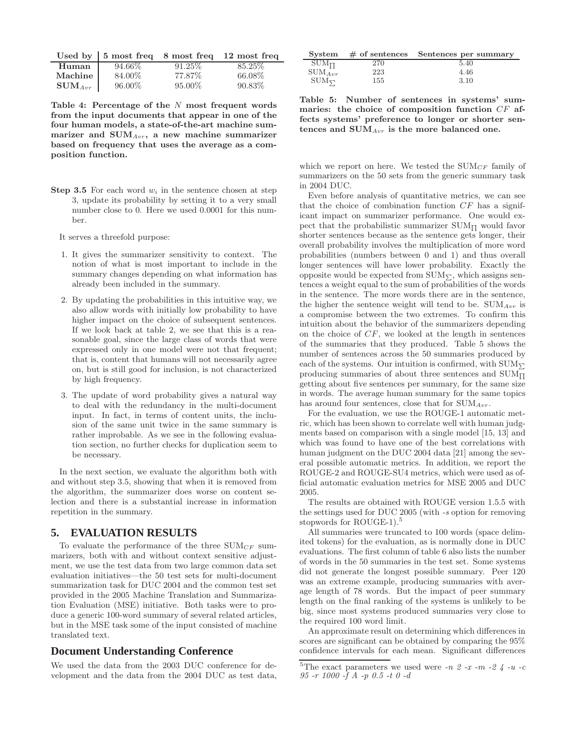|                      | Used by $\vert$ 5 most freq 8 most freq |           | 12 most freq |
|----------------------|-----------------------------------------|-----------|--------------|
| Human                | $94.66\%$                               | $91.25\%$ | 85.25\%      |
| Machine              | 84.00%                                  | 77.87\%   | 66.08%       |
| $\mathbf{SUM}_{Avr}$ | 96.00%                                  | 95.00%    | 90.83%       |

Table 4: Percentage of the N most frequent words from the input documents that appear in one of the four human models, a state-of-the-art machine summarizer and  $SUM_{Avr}$ , a new machine summarizer based on frequency that uses the average as a composition function.

**Step 3.5** For each word  $w_i$  in the sentence chosen at step 3, update its probability by setting it to a very small number close to 0. Here we used 0.0001 for this number.

It serves a threefold purpose:

- 1. It gives the summarizer sensitivity to context. The notion of what is most important to include in the summary changes depending on what information has already been included in the summary.
- 2. By updating the probabilities in this intuitive way, we also allow words with initially low probability to have higher impact on the choice of subsequent sentences. If we look back at table 2, we see that this is a reasonable goal, since the large class of words that were expressed only in one model were not that frequent; that is, content that humans will not necessarily agree on, but is still good for inclusion, is not characterized by high frequency.
- 3. The update of word probability gives a natural way to deal with the redundancy in the multi-document input. In fact, in terms of content units, the inclusion of the same unit twice in the same summary is rather improbable. As we see in the following evaluation section, no further checks for duplication seem to be necessary.

In the next section, we evaluate the algorithm both with and without step 3.5, showing that when it is removed from the algorithm, the summarizer does worse on content selection and there is a substantial increase in information repetition in the summary.

## **5. EVALUATION RESULTS**

To evaluate the performance of the three  $SUM_{CF}$  summarizers, both with and without context sensitive adjustment, we use the test data from two large common data set evaluation initiatives—the 50 test sets for multi-document summarization task for DUC 2004 and the common test set provided in the 2005 Machine Translation and Summarization Evaluation (MSE) initiative. Both tasks were to produce a generic 100-word summary of several related articles, but in the MSE task some of the input consisted of machine translated text.

#### **Document Understanding Conference**

We used the data from the 2003 DUC conference for development and the data from the 2004 DUC as test data,

|                    |     | $System$ # of sentences Sentences per summary |
|--------------------|-----|-----------------------------------------------|
| $\text{SUM}_{\Pi}$ | 270 | 5.40                                          |
| $SUM_{Arr}$        | 223 | 4.46                                          |
| $SUM_{\nabla}$     | 155 | 3.10                                          |

Table 5: Number of sentences in systems' summaries: the choice of composition function  $CF$  affects systems' preference to longer or shorter sentences and  $SUM_{Avr}$  is the more balanced one.

which we report on here. We tested the  $\text{SUM}_{CF}$  family of summarizers on the 50 sets from the generic summary task in 2004 DUC.

Even before analysis of quantitative metrics, we can see that the choice of combination function  $CF$  has a significant impact on summarizer performance. One would expect that the probabilistic summarizer  $\text{SUM}_{\Pi}$  would favor shorter sentences because as the sentence gets longer, their overall probability involves the multiplication of more word probabilities (numbers between 0 and 1) and thus overall longer sentences will have lower probability. Exactly the opposite would be expected from  $\text{SUM}_{\sum}$ , which assigns sentences a weight equal to the sum of probabilities of the words in the sentence. The more words there are in the sentence, the higher the sentence weight will tend to be.  $\text{SUM}_{Avr}$  is a compromise between the two extremes. To confirm this intuition about the behavior of the summarizers depending on the choice of CF, we looked at the length in sentences of the summaries that they produced. Table 5 shows the number of sentences across the 50 summaries produced by each of the systems. Our intuition is confirmed, with  $\text{SUM}_{\Sigma}$ producing summaries of about three sentences and  $\text{SUM}_{\Pi}$ getting about five sentences per summary, for the same size in words. The average human summary for the same topics has around four sentences, close that for  $SUM_{Avr}$ .

For the evaluation, we use the ROUGE-1 automatic metric, which has been shown to correlate well with human judgments based on comparison with a single model [15, 13] and which was found to have one of the best correlations with human judgment on the DUC 2004 data [21] among the several possible automatic metrics. In addition, we report the ROUGE-2 and ROUGE-SU4 metrics, which were used as official automatic evaluation metrics for MSE 2005 and DUC 2005.

The results are obtained with ROUGE version 1.5.5 with the settings used for DUC 2005 (with -s option for removing stopwords for ROUGE-1).<sup>5</sup>

All summaries were truncated to 100 words (space delimited tokens) for the evaluation, as is normally done in DUC evaluations. The first column of table 6 also lists the number of words in the 50 summaries in the test set. Some systems did not generate the longest possible summary. Peer 120 was an extreme example, producing summaries with average length of 78 words. But the impact of peer summary length on the final ranking of the systems is unlikely to be big, since most systems produced summaries very close to the required 100 word limit.

An approximate result on determining which differences in scores are significant can be obtained by comparing the 95% confidence intervals for each mean. Significant differences

<sup>&</sup>lt;sup>5</sup>The exact parameters we used were  $-n$   $2 -x -m -2$   $4 -u -c$ 95 -r 1000 -f A -p 0.5 -t 0 -d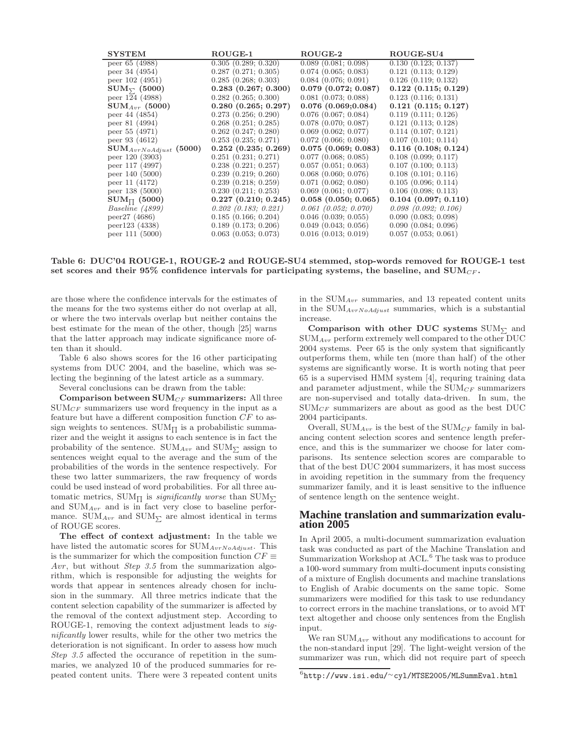| <b>SYSTEM</b>                | $\mathop{\mathrm{ROUGE-1}}$ | $ROUGE-2$                | ROUGE-SU4                |
|------------------------------|-----------------------------|--------------------------|--------------------------|
| peer 65 (4988)               | 0.305(0.289; 0.320)         | $0.089$ $(0.081; 0.098)$ | 0.130(0.123; 0.137)      |
| peer 34 (4954)               | 0.287(0.271; 0.305)         | $0.074$ $(0.065; 0.083)$ | $0.121$ $(0.113; 0.129)$ |
| peer 102 (4951)              | 0.285(0.268; 0.303)         | $0.084$ (0.076; 0.091)   | $0.126$ $(0.119; 0.132)$ |
| $\text{SUM}_{\Sigma}$ (5000) | $0.283$ $(0.267; 0.300)$    | $0.079$ $(0.072; 0.087)$ | 0.122(0.115; 0.129)      |
| peer 124 (4988)              | $0.282$ $(0.265; 0.300)$    | $0.081$ $(0.073; 0.088)$ | $0.123$ $(0.116; 0.131)$ |
| $SUM_{A_{ur}}(5000)$         | 0.280(0.265; 0.297)         | 0.076(0.069;0.084)       | $0.121$ $(0.115; 0.127)$ |
| peer 44 (4854)               | 0.273(0.256; 0.290)         | $0.076$ $(0.067; 0.084)$ | 0.119(0.111; 0.126)      |
| peer 81 (4994)               | $0.268$ $(0.251; 0.285)$    | $0.078$ $(0.070; 0.087)$ | $0.121$ $(0.113; 0.128)$ |
| peer 55 (4971)               | $0.262$ $(0.247; 0.280)$    | $0.069$ $(0.062; 0.077)$ | 0.114(0.107; 0.121)      |
| peer $93(4612)$              | 0.253(0.235; 0.271)         | 0.072(0.066; 0.080)      | $0.107$ $(0.101; 0.114)$ |
| $SUM_{AvrNoAdjust}$ (5000)   | 0.252(0.235; 0.269)         | 0.075(0.069; 0.083)      | 0.116(0.108; 0.124)      |
| peer 120 (3903)              | 0.251(0.231; 0.271)         | $0.077$ $(0.068; 0.085)$ | $0.108$ $(0.099; 0.117)$ |
| peer 117 (4997)              | $0.238$ $(0.221; 0.257)$    | $0.057$ $(0.051; 0.063)$ | $0.107$ $(0.100; 0.113)$ |
| peer $140(5000)$             | 0.239(0.219; 0.260)         | $0.068$ $(0.060; 0.076)$ | $0.108$ $(0.101; 0.116)$ |
| peer 11 (4172)               | 0.239(0.218; 0.259)         | $0.071$ $(0.062; 0.080)$ | 0.105(0.096; 0.114)      |
| peer $138(5000)$             | 0.230(0.211; 0.253)         | $0.069$ $(0.061; 0.077)$ | $0.106$ $(0.098; 0.113)$ |
| $\text{SUM}_{\Pi}$ (5000)    | 0.227(0.210; 0.245)         | 0.058(0.050; 0.065)      | $0.104$ $(0.097; 0.110)$ |
| Baseline $(4899)$            | $0.202$ $(0.183; 0.221)$    | $0.061$ $(0.052; 0.070)$ | $0.098$ $(0.092; 0.106)$ |
| peer27(4686)                 | 0.185(0.166; 0.204)         | $0.046$ $(0.039; 0.055)$ | 0.090(0.083; 0.098)      |
| peer123 (4338)               | 0.189(0.173; 0.206)         | $0.049$ $(0.043; 0.056)$ | 0.090(0.084; 0.096)      |
| peer $111(5000)$             | 0.063(0.053; 0.073)         | $0.016$ $(0.013; 0.019)$ | $0.057$ $(0.053; 0.061)$ |

Table 6: DUC'04 ROUGE-1, ROUGE-2 and ROUGE-SU4 stemmed, stop-words removed for ROUGE-1 test set scores and their 95% confidence intervals for participating systems, the baseline, and  $\text{SUM}_{CF}$ .

are those where the confidence intervals for the estimates of the means for the two systems either do not overlap at all, or where the two intervals overlap but neither contains the best estimate for the mean of the other, though [25] warns that the latter approach may indicate significance more often than it should.

Table 6 also shows scores for the 16 other participating systems from DUC 2004, and the baseline, which was selecting the beginning of the latest article as a summary.

Several conclusions can be drawn from the table:

Comparison between  $SUM_{CF}$  summarizers: All three  $SUM_{CF}$  summarizers use word frequency in the input as a feature but have a different composition function CF to assign weights to sentences.  $SUM_{\Pi}$  is a probabilistic summarizer and the weight it assigns to each sentence is in fact the probability of the sentence.  $\text{SUM}_{Avr}$  and  $\text{SUM}_{\sum}$  assign to sentences weight equal to the average and the sum of the probabilities of the words in the sentence respectively. For these two latter summarizers, the raw frequency of words could be used instead of word probabilities. For all three automatic metrics, SUM<sub>II</sub> is *significantly worse* than SUM<sub> $\Sigma$ </sub> and  $SUM_{Avr}$  and is in fact very close to baseline performance. SUM<sub>Avr</sub> and SUM<sub>T</sub> are almost identical in terms of ROUGE scores.

The effect of context adjustment: In the table we have listed the automatic scores for  $SUM_{AvrNoAdjust}$ . This is the summarizer for which the composition function  $CF \equiv$ Avr, but without Step 3.5 from the summarization algorithm, which is responsible for adjusting the weights for words that appear in sentences already chosen for inclusion in the summary. All three metrics indicate that the content selection capability of the summarizer is affected by the removal of the context adjustment step. According to ROUGE-1, removing the context adjustment leads to significantly lower results, while for the other two metrics the deterioration is not significant. In order to assess how much Step 3.5 affected the occurance of repetition in the summaries, we analyzed 10 of the produced summaries for repeated content units. There were 3 repeated content units

in the  $SUM_{Avr}$  summaries, and 13 repeated content units in the  $SUM_{AvrNoAdjust}$  summaries, which is a substantial increase.

Comparison with other DUC systems  $SUM_{\sum}$  and  $SUM_{Avr}$  perform extremely well compared to the other DUC 2004 systems. Peer 65 is the only system that significantly outperforms them, while ten (more than half) of the other systems are significantly worse. It is worth noting that peer 65 is a supervised HMM system [4], requring training data and parameter adjustment, while the  $\text{SUM}_{CF}$  summarizers are non-supervised and totally data-driven. In sum, the  $SUM_{CF}$  summarizers are about as good as the best DUC 2004 participants.

Overall,  $\text{SUM}_{Avr}$  is the best of the  $\text{SUM}_{CF}$  family in balancing content selection scores and sentence length preference, and this is the summarizer we choose for later comparisons. Its sentence selection scores are comparable to that of the best DUC 2004 summarizers, it has most success in avoiding repetition in the summary from the frequency summarizer family, and it is least sensitive to the influence of sentence length on the sentence weight.

## **Machine translation and summarization evaluation 2005**

In April 2005, a multi-document summarization evaluation task was conducted as part of the Machine Translation and Summarization Workshop at ACL.<sup>6</sup> The task was to produce a 100-word summary from multi-document inputs consisting of a mixture of English documents and machine translations to English of Arabic documents on the same topic. Some summarizers were modified for this task to use redundancy to correct errors in the machine translations, or to avoid MT text altogether and choose only sentences from the English input.

We ran  $SUM_{Avr}$  without any modifications to account for the non-standard input [29]. The light-weight version of the summarizer was run, which did not require part of speech

 $^6$ http://www.isi.edu/∼cyl/MTSE2005/MLSummEval.html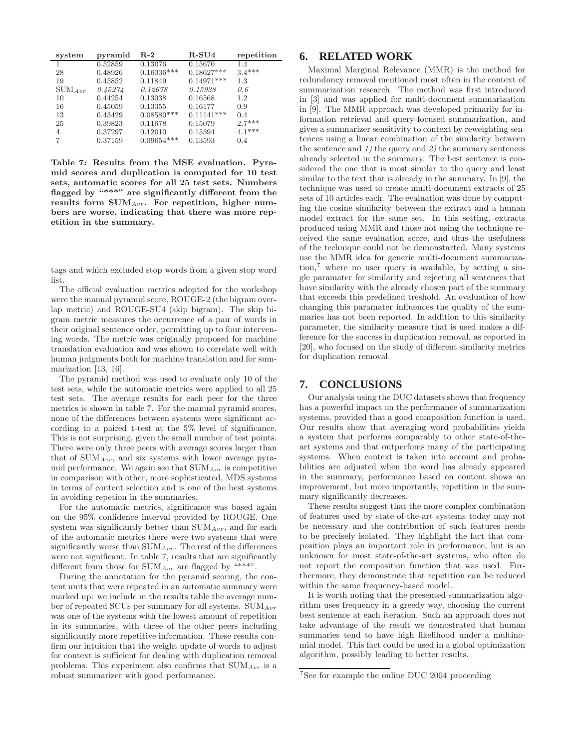| system      | pyramid | $R-2$        | $R-SU4$      | repetition |
|-------------|---------|--------------|--------------|------------|
|             | 0.52859 | 0.13076      | 0.15670      | 1.4        |
| 28          | 0.48926 | $0.16036***$ | $0.18627***$ | $3.4***$   |
| 19          | 0.45852 | 0.11849      | $0.14971***$ | 1.3        |
| $SUM_{Arr}$ | 0.45274 | 0.12678      | 0.15938      | 0.6        |
| 10          | 0.44254 | 0.13038      | 0.16568      | 1.2        |
| 16          | 0.45059 | 0.13355      | 0.16177      | 0.9        |
| 13          | 0.43429 | $0.08580***$ | $0.11141***$ | 0.4        |
| 25          | 0.39823 | 0.11678      | 0.15079      | $2.7***$   |
| 4           | 0.37297 | 0.12010      | 0.15394      | $4.1***$   |
| 7           | 0.37159 | $0.09654***$ | 0.13593      | 0.4        |

Table 7: Results from the MSE evaluation. Pyramid scores and duplication is computed for 10 test sets, automatic scores for all 25 test sets. Numbers flagged by "\*\*\*" are significantly different from the results form SUMAvr. For repetition, higher numbers are worse, indicating that there was more repetition in the summary.

tags and which excluded stop words from a given stop word list.

The official evaluation metrics adopted for the workshop were the manual pyramid score, ROUGE-2 (the bigram overlap metric) and ROUGE-SU4 (skip bigram). The skip bigram metric measures the occurrence of a pair of words in their original sentence order, permitting up to four intervening words. The metric was originally proposed for machine translation evaluation and was shown to correlate well with human judgments both for machine translation and for summarization [13, 16].

The pyramid method was used to evaluate only 10 of the test sets, while the automatic metrics were applied to all 25 test sets. The average results for each peer for the three metrics is shown in table 7. For the manual pyramid scores, none of the differences between systems were significant according to a paired t-test at the 5% level of significance. This is not surprising, given the small number of test points. There were only three peers with average scores larger than that of  $SUM_{Avr}$ , and six systems with lower average pyramid performance. We again see that  $\text{SUM}_{Avr}$  is competitive in comparison with other, more sophisticated, MDS systems in terms of content selection and is one of the best systems in avoiding repetion in the summaries.

For the automatic metrics, significance was based again on the 95% confidence interval provided by ROUGE. One system was significantly better than  $SUM_{Avr}$ , and for each of the automatic metrics there were two systems that were significantly worse than  $SUM_{Avr}$ . The rest of the differences were not significant. In table 7, results that are significantly different from those for  $SUM_{Avr}$  are flagged by "\*\*\*".

During the annotation for the pyramid scoring, the content units that were repeated in an automatic summary were marked up: we include in the results table the average number of repeated SCUs per summary for all systems.  $\text{SUM}_{Avr}$ was one of the systems with the lowest amount of repetition in its summaries, with three of the other peers including significantly more repetitive information. These results confirm our intuition that the weight update of words to adjust for context is sufficient for dealing with duplication removal problems. This experiment also confirms that  $SUM_{Avr}$  is a robust summarizer with good performance.

# **6. RELATED WORK**

Maximal Marginal Relevance (MMR) is the method for redundancy removal mentioned most often in the context of summarization research. The method was first introduced in [3] and was applied for multi-document summarization in [9]. The MMR approach was developed primarily for information retrieval and query-focused summarization, and gives a summarizer sensitivity to context by reweighting sentences using a linear combination of the similarity between the sentence and  $1$ ) the query and  $2$ ) the summary sentences already selected in the summary. The best sentence is considered the one that is most similar to the query and least similar to the text that is already in the summary. In [9], the technique was used to create multi-document extracts of 25 sets of 10 articles each. The evaluation was done by computing the cosine similarity between the extract and a human model extract for the same set. In this setting, extracts produced using MMR and those not using the technique received the same evaluation score, and thus the usefulness of the technique could not be demonstarted. Many systems use the MMR idea for generic multi-document summariza- $\{\text{tion},^7\}$  where no user query is available, by setting a single paramater for similarity and rejecting all sentences that have similarity with the already chosen part of the summary that exceeds this predefined treshold. An evaluation of how changing this paramater influences the quality of the summaries has not been reported. In addition to this similarity parameter, the similarity measure that is used makes a difference for the success in duplication removal, as reported in [20], who focused on the study of different similarity metrics for duplication removal.

# **7. CONCLUSIONS**

Our analysis using the DUC datasets shows that frequency has a powerful impact on the performance of summarization systems, provided that a good composition function is used. Our results show that averaging word probabilities yields a system that performs comparably to other state-of-theart systems and that outperfoms many of the participating systems. When context is taken into account and probabilities are adjusted when the word has already appeared in the summary, performance based on content shows an improvement, but more importantly, repetition in the summary significantly decreases.

These results suggest that the more complex combination of features used by state-of-the-art systems today may not be necessary and the contribution of such features needs to be precisely isolated. They highlight the fact that composition plays an important role in performance, but is an unknown for most state-of-the-art systems, who often do not report the composition function that was used. Furthermore, they demonstrate that repetition can be reduced within the same frequency-based model.

It is worth noting that the presented summarization algorithm uses frequency in a greedy way, choosing the current best sentence at each iteration. Such an approach does not take advantage of the result we demostrated that human summaries tend to have high likelihood under a multinomial model. This fact could be used in a global optimization algorithm, possibly leading to better results.

<sup>7</sup>See for example the online DUC 2004 proceeding